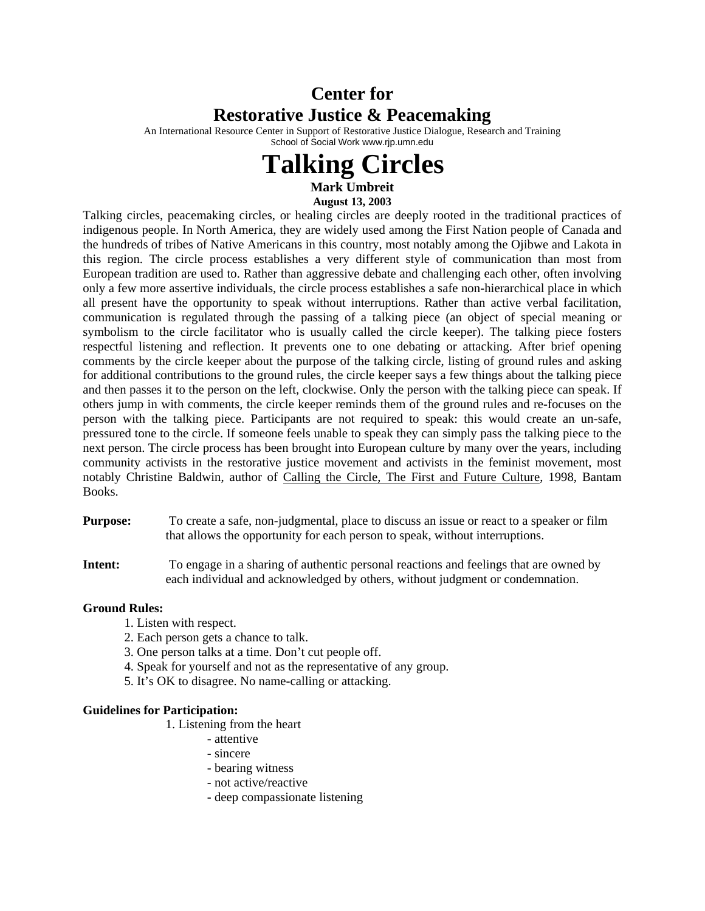## **Center for Restorative Justice & Peacemaking**

An International Resource Center in Support of Restorative Justice Dialogue, Research and Training School of Social Work www.rjp.umn.edu

## **Talking Circles**

**Mark Umbreit August 13, 2003** 

Talking circles, peacemaking circles, or healing circles are deeply rooted in the traditional practices of indigenous people. In North America, they are widely used among the First Nation people of Canada and the hundreds of tribes of Native Americans in this country, most notably among the Ojibwe and Lakota in this region. The circle process establishes a very different style of communication than most from European tradition are used to. Rather than aggressive debate and challenging each other, often involving only a few more assertive individuals, the circle process establishes a safe non-hierarchical place in which all present have the opportunity to speak without interruptions. Rather than active verbal facilitation, communication is regulated through the passing of a talking piece (an object of special meaning or symbolism to the circle facilitator who is usually called the circle keeper). The talking piece fosters respectful listening and reflection. It prevents one to one debating or attacking. After brief opening comments by the circle keeper about the purpose of the talking circle, listing of ground rules and asking for additional contributions to the ground rules, the circle keeper says a few things about the talking piece and then passes it to the person on the left, clockwise. Only the person with the talking piece can speak. If others jump in with comments, the circle keeper reminds them of the ground rules and re-focuses on the person with the talking piece. Participants are not required to speak: this would create an un-safe, pressured tone to the circle. If someone feels unable to speak they can simply pass the talking piece to the next person. The circle process has been brought into European culture by many over the years, including community activists in the restorative justice movement and activists in the feminist movement, most notably Christine Baldwin, author of Calling the Circle, The First and Future Culture, 1998, Bantam Books.

- **Purpose:** To create a safe, non-judgmental, place to discuss an issue or react to a speaker or film that allows the opportunity for each person to speak, without interruptions.
- **Intent:** To engage in a sharing of authentic personal reactions and feelings that are owned by each individual and acknowledged by others, without judgment or condemnation.

## **Ground Rules:**

- 1. Listen with respect.
- 2. Each person gets a chance to talk.
- 3. One person talks at a time. Don't cut people off.
- 4. Speak for yourself and not as the representative of any group.
- 5. It's OK to disagree. No name-calling or attacking.

## **Guidelines for Participation:**

- 1. Listening from the heart
	- attentive
	- sincere
	- bearing witness
	- not active/reactive
	- deep compassionate listening